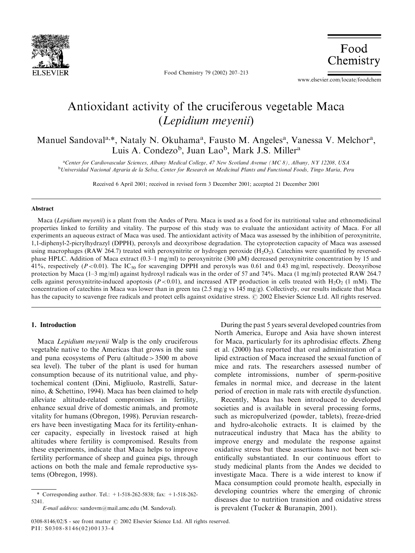

Food Chemistry 79 (2002) 207–213

Food Chemistry

www.elsevier.com/locate/foodchem

# Antioxidant activity of the cruciferous vegetable Maca (Lepidium meyenii)

Manuel Sandoval<sup>a,\*</sup>, Nataly N. Okuhama<sup>a</sup>, Fausto M. Angeles<sup>a</sup>, Vanessa V. Melchor<sup>a</sup>, Luis A. Condezo<sup>b</sup>, Juan Lao<sup>b</sup>, Mark J.S. Miller<sup>a</sup>

a Center for Cardiovascular Sciences, Albany Medical College, 47 New Scotland Avenue (MC 8), Albany, NY 12208, USA <sup>b</sup>Universidad Nacional Agraria de la Selva, Center for Research on Medicinal Plants and Functional Foods, Tingo Maria, Peru

Received 6 April 2001; received in revised form 3 December 2001; accepted 21 December 2001

#### Abstract

Maca (Lepidium meyenii) is a plant from the Andes of Peru. Maca is used as a food for its nutritional value and ethnomedicinal properties linked to fertility and vitality. The purpose of this study was to evaluate the antioxidant activity of Maca. For all experiments an aqueous extract of Maca was used. The antioxidant activity of Maca was assessed by the inhibition of peroxynitrite, 1,1-diphenyl-2-picrylhydrazyl (DPPH), peroxyls and deoxyribose degradation. The cytoprotection capacity of Maca was assessed using macrophages (RAW 264.7) treated with peroxynitrite or hydrogen peroxide (H<sub>2</sub>O<sub>2</sub>). Catechins were quantified by reversedphase HPLC. Addition of Maca extract (0.3–1 mg/ml) to peroxynitrite (300  $\mu$ M) decreased peroxynitrite concentration by 15 and 41%, respectively ( $P < 0.01$ ). The IC<sub>50</sub> for scavenging DPPH and peroxyls was 0.61 and 0.43 mg/ml, respectively. Deoxyribose protection by Maca (1–3 mg/ml) against hydroxyl radicals was in the order of 57 and 74%. Maca (1 mg/ml) protected RAW 264.7 cells against peroxynitrite-induced apoptosis ( $P < 0.01$ ), and increased ATP production in cells treated with H<sub>2</sub>O<sub>2</sub> (1 mM). The concentration of catechins in Maca was lower than in green tea (2.5 mg/g vs 145 mg/g). Collectively, our results indicate that Maca has the capacity to scavenge free radicals and protect cells against oxidative stress. © 2002 Elsevier Science Ltd. All rights reserved.

# 1. Introduction

Maca Lepidium meyenii Walp is the only cruciferous vegetable native to the Americas that grows in the suni and puna ecosystems of Peru (altitude>3500 m above sea level). The tuber of the plant is used for human consumption because of its nutritional value, and phytochemical content (Dini, Migliuolo, Rastrelli, Saturnino, & Schettino, 1994). Maca has been claimed to help alleviate altitude-related compromises in fertility, enhance sexual drive of domestic animals, and promote vitality for humans (Obregon, 1998). Peruvian researchers have been investigating Maca for its fertility-enhancer capacity, especially in livestock raised at high altitudes where fertility is compromised. Results from these experiments, indicate that Maca helps to improve fertility performance of sheep and guinea pigs, through actions on both the male and female reproductive systems (Obregon, 1998).

During the past 5 years several developed countries from North America, Europe and Asia have shown interest for Maca, particularly for its aphrodisiac effects. Zheng et al. (2000) has reported that oral administration of a lipid extraction of Maca increased the sexual function of mice and rats. The researchers assessed number of complete intromissions, number of sperm-positive females in normal mice, and decrease in the latent period of erection in male rats with erectile dysfunction.

Recently, Maca has been introduced to developed societies and is available in several processing forms, such as micropulverized (powder, tablets), freeze-dried and hydro-alcoholic extracts. It is claimed by the nutraceutical industry that Maca has the ability to improve energy and modulate the response against oxidative stress but these assertions have not been scientifically substantiated. In our continuous effort to study medicinal plants from the Andes we decided to investigate Maca. There is a wide interest to know if Maca consumption could promote health, especially in developing countries where the emerging of chronic diseases due to nutrition transition and oxidative stress is prevalent (Tucker & Buranapin, 2001).

<sup>\*</sup> Corresponding author. Tel.:  $+1-518-262-5838$ : fax:  $+1-518-262-$ 5241.

E-mail address: sandovm@mail.amc.edu (M. Sandoval).

<sup>0308-8146/02/\$ -</sup> see front matter  $\odot$  2002 Elsevier Science Ltd. All rights reserved. PII: S0308-8146(02)00133-4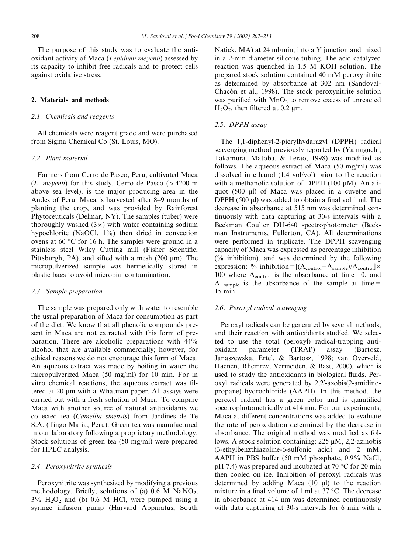The purpose of this study was to evaluate the antioxidant activity of Maca (Lepidium meyenii) assessed by its capacity to inhibit free radicals and to protect cells against oxidative stress.

## 2. Materials and methods

## 2.1. Chemicals and reagents

All chemicals were reagent grade and were purchased from Sigma Chemical Co (St. Louis, MO).

#### 2.2. Plant material

Farmers from Cerro de Pasco, Peru, cultivated Maca (*L. meyenii*) for this study. Cerro de Pasco ( $>4200$  m above sea level), is the major producing area in the Andes of Peru. Maca is harvested after 8–9 months of planting the crop, and was provided by Rainforest Phytoceuticals (Delmar, NY). The samples (tuber) were thoroughly washed  $(3x)$  with water containing sodium hypochlorite (NaOCl,  $1\%$ ) then dried in convection ovens at  $60 °C$  for 16 h. The samples were ground in a stainless steel Wiley Cutting mill (Fisher Scientific, Pittsburgh, PA), and sifted with a mesh  $(200 \mu m)$ . The micropulverized sample was hermetically stored in plastic bags to avoid microbial contamination.

## 2.3. Sample preparation

The sample was prepared only with water to resemble the usual preparation of Maca for consumption as part of the diet. We know that all phenolic compounds present in Maca are not extracted with this form of preparation. There are alcoholic preparations with 44% alcohol that are available commercially; however, for ethical reasons we do not encourage this form of Maca. An aqueous extract was made by boiling in water the micropulverized Maca (50 mg/ml) for 10 min. For in vitro chemical reactions, the aqueous extract was filtered at 20 µm with a Whatman paper. All assays were carried out with a fresh solution of Maca. To compare Maca with another source of natural antioxidants we collected tea (Camellia sinensis) from Jardines de Te S.A. (Tingo Maria, Peru). Green tea was manufactured in our laboratory following a proprietary methodology. Stock solutions of green tea (50 mg/ml) were prepared for HPLC analysis.

## 2.4. Peroxynitrite synthesis

Peroxynitrite was synthesized by modifying a previous methodology. Briefly, solutions of (a)  $0.6$  M NaNO<sub>2</sub>,  $3\%$  H<sub>2</sub>O<sub>2</sub> and (b) 0.6 M HCl, were pumped using a syringe infusion pump (Harvard Apparatus, South Natick, MA) at 24 ml/min, into a Y junction and mixed in a 2-mm diameter silicone tubing. The acid catalyzed reaction was quenched in 1.5 M KOH solution. The prepared stock solution contained 40 mM peroxynitrite as determined by absorbance at 302 nm (Sandoval-Chacón et al., 1998). The stock peroxynitrite solution was purified with  $MnO<sub>2</sub>$  to remove excess of unreacted  $H_2O_2$ , then filtered at 0.2  $\mu$ m.

## 2.5. DPPH assay

The 1,1-diphenyl-2-picrylhydarazyl (DPPH) radical scavenging method previously reported by (Yamaguchi, Takamura, Matoba, & Terao, 1998) was modified as follows. The aqueous extract of Maca (50 mg/ml) was dissolved in ethanol (1:4 vol/vol) prior to the reaction with a methanolic solution of DPPH (100  $\mu$ M). An aliquot (500 ml) of Maca was placed in a cuvette and DPPH (500  $\mu$ l) was added to obtain a final vol 1 ml. The decrease in absorbance at 515 nm was determined continuously with data capturing at 30-s intervals with a Beckman Coulter DU-640 spectrophotometer (Beckman Instruments, Fullerton, CA). All determinations were performed in triplicate. The DPPH scavenging capacity of Maca was expressed as percentage inhibition (% inhibition), and was determined by the following expression: % inhibition =  $[(A_{control} - A_{sample})/A_{control}] \times$ 100 where  $A_{control}$  is the absorbance at time=0, and A sample is the absorbance of the sample at time= 15 min.

#### 2.6. Peroxyl radical scavenging

Peroxyl radicals can be generated by several methods, and their reaction with antioxidants studied. We selected to use the total (peroxyl) radical-trapping antioxidant parameter (TRAP) assay (Bartosz, Janaszewska, Ertel, & Bartosz, 1998; van Overveld, Haenen, Rhemrev, Vermeiden, & Bast, 2000), which is used to study the antioxidants in biological fluids. Peroxyl radicals were generated by 2,2'-azobis(2-amidinopropane) hydrochloride (AAPH). In this method, the peroxyl radical has a green color and is quantified spectrophotometrically at 414 nm. For our experiments, Maca at different concentrations was added to evaluate the rate of peroxidation determined by the decrease in absorbance. The original method was modified as follows. A stock solution containing:  $225 \mu M$ ,  $2,2$ -azinobis (3-ethylbenzthiazoline-6-sulfonic acid) and 2 mM, AAPH in PBS buffer (50 mM phosphate, 0.9% NaCl, pH 7.4) was prepared and incubated at 70  $\degree$ C for 20 min then cooled on ice. Inhibition of peroxyl radicals was determined by adding Maca  $(10 \mu l)$  to the reaction mixture in a final volume of 1 ml at  $37 \text{ }^{\circ}$ C. The decrease in absorbance at 414 nm was determined continuously with data capturing at 30-s intervals for 6 min with a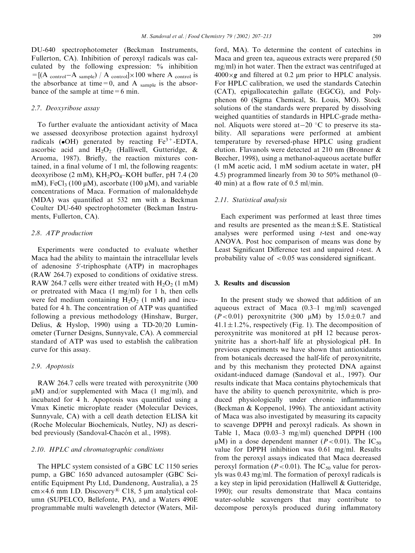DU-640 spectrophotometer (Beckman Instruments, Fullerton, CA). Inhibition of peroxyl radicals was calculated by the following expression: % inhibition  $=[(A_{control}-A_{sample})/A_{control}]\times100$  where A control is the absorbance at time=0, and A sample is the absorbance of the sample at time  $=6$  min.

## 2.7. Deoxyribose assay

To further evaluate the antioxidant activity of Maca we assessed deoxyribose protection against hydroxyl radicals  $\bullet$ OH) generated by reacting Fe<sup>3+</sup>-EDTA, ascorbic acid and  $H_2O_2$  (Halliwell, Gutteridge, & Aruoma, 1987). Briefly, the reaction mixtures contained, in a final volume of 1 ml, the following reagents: deoxyribose (2 mM),  $KH_2PO_4-KOH$  buffer, pH 7.4 (20 mM), FeCl<sub>3</sub> (100  $\mu$ M), ascorbate (100  $\mu$ M), and variable concentrations of Maca. Formation of malonaldehyde (MDA) was quantified at 532 nm with a Beckman Coulter DU-640 spectrophotometer (Beckman Instruments, Fullerton, CA).

#### 2.8. ATP production

Experiments were conducted to evaluate whether Maca had the ability to maintain the intracellular levels of adenosine 5'-triphosphate (ATP) in macrophages (RAW 264.7) exposed to conditions of oxidative stress. RAW 264.7 cells were either treated with  $H_2O_2$  (1 mM) or pretreated with Maca (1 mg/ml) for 1 h, then cells were fed medium containing  $H_2O_2$  (1 mM) and incubated for 4 h. The concentration of ATP was quantified following a previous methodology (Hinshaw, Burger, Delius, & Hyslop, 1990) using a TD-20/20 Luminometer (Turner Designs, Sunnyvale, CA). A commercial standard of ATP was used to establish the calibration curve for this assay.

#### 2.9. Apoptosis

RAW 264.7 cells were treated with peroxynitrite (300  $\mu$ M) and/or supplemented with Maca (1 mg/ml), and incubated for 4 h. Apoptosis was quantified using a Vmax Kinetic microplate reader (Molecular Devices, Sunnyvale, CA) with a cell death detection ELISA kit (Roche Molecular Biochemicals, Nutley, NJ) as described previously (Sandoval-Chacón et al., 1998).

## 2.10. HPLC and chromatographic conditions

The HPLC system consisted of a GBC LC 1150 series pump, a GBC 1650 advanced autosampler (GBC Scientific Equipment Pty Ltd, Dandenong, Australia), a 25  $cm \times 4.6$  mm I.D. Discovery<sup>®</sup> C18, 5  $\mu$ m analytical column (SUPELCO, Bellefonte, PA), and a Waters 490E programmable multi wavelength detector (Waters, Milford, MA). To determine the content of catechins in Maca and green tea, aqueous extracts were prepared (50 mg/ml) in hot water. Then the extract was centrifuged at  $4000 \times g$  and filtered at 0.2 µm prior to HPLC analysis. For HPLC calibration, we used the standards Catechin (CAT), epigallocatechin gallate (EGCG), and Polyphenon 60 (Sigma Chemical, St. Louis, MO). Stock solutions of the standards were prepared by dissolving weighed quantities of standards in HPLC-grade methanol. Aliquots were stored at  $-20$  °C to preserve its stability. All separations were performed at ambient temperature by reversed-phase HPLC using gradient elution. Flavanols were detected at 210 nm (Bronner & Beecher, 1998), using a methanol-aqueous acetate buffer (1 mM acetic acid, 1 mM sodium acetate in water, pH 4.5) programmed linearly from 30 to 50% methanol (0– 40 min) at a flow rate of 0.5 ml/min.

# 2.11. Statistical analysis

Each experiment was performed at least three times and results are presented as the mean $\pm$ S.E. Statistical analyses were performed using t-test and one-way ANOVA. Post hoc comparison of means was done by Least Significant Difference test and unpaired t-test. A probability value of  $< 0.05$  was considered significant.

#### 3. Results and discussion

In the present study we showed that addition of an aqueous extract of Maca (0.3–1 mg/ml) scavenged  $(P<0.01)$  peroxynitrite (300  $\mu$ M) by 15.0 $\pm$ 0.7 and  $41.1 \pm 1.2\%$ , respectively (Fig. 1). The decomposition of peroxynitrite was monitored at pH 12 because peroxynitrite has a short-half life at physiological pH. In previous experiments we have shown that antioxidants from botanicals decreased the half-life of peroxynitrite, and by this mechanism they protected DNA against oxidant-induced damage (Sandoval et al., 1997). Our results indicate that Maca contains phytochemicals that have the ability to quench peroxynitrite, which is produced physiologically under chronic inflammation (Beckman & Koppenol, 1996). The antioxidant activity of Maca was also investigated by measuring its capacity to scavenge DPPH and peroxyl radicals. As shown in Table 1, Maca (0.03–3 mg/ml) quenched DPPH (100  $\mu$ M) in a dose dependent manner (P < 0.01). The IC<sub>50</sub> value for DPPH inhibition was 0.61 mg/ml. Results from the peroxyl assays indicated that Maca decreased peroxyl formation ( $P < 0.01$ ). The IC<sub>50</sub> value for peroxyls was 0.43 mg/ml. The formation of peroxyl radicals is a key step in lipid peroxidation (Halliwell & Gutteridge, 1990); our results demonstrate that Maca contains water-soluble scavengers that may contribute to decompose peroxyls produced during inflammatory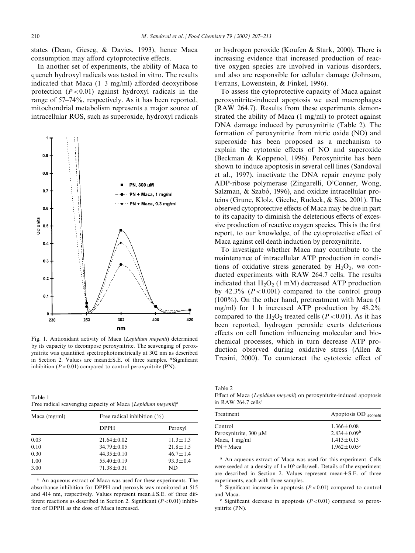states (Dean, Gieseg, & Davies, 1993), hence Maca consumption may afford cytoprotective effects.

In another set of experiments, the ability of Maca to quench hydroxyl radicals was tested in vitro. The results indicated that Maca (1–3 mg/ml) afforded deoxyribose protection  $(P<0.01)$  against hydroxyl radicals in the range of 57–74%, respectively. As it has been reported, mitochondrial metabolism represents a major source of intracellular ROS, such as superoxide, hydroxyl radicals



Fig. 1. Antioxidant activity of Maca (Lepidium meyenii) determined by its capacity to decompose peroxynitrite. The scavenging of peroxynitrite was quantified spectrophotometrically at 302 nm as described in Section 2. Values are mean $\pm$ S.E. of three samples. \*Significant inhibition  $(P<0.01)$  compared to control peroxynitrite (PN).

Table 1 Free radical scavenging capacity of Maca (Lepidium meyenii)<sup>a</sup>

| Maca $(mg/ml)$ | Free radical inhibition $(\%)$ |                |  |
|----------------|--------------------------------|----------------|--|
|                | <b>DPPH</b>                    | Peroxyl        |  |
| 0.03           | $21.64 \pm 0.02$               | $11.3 + 1.3$   |  |
| 0.10           | $34.79 \pm 0.05$               | $21.8 \pm 1.5$ |  |
| 0.30           | $44.35 \pm 0.10$               | $46.7 \pm 1.4$ |  |
| 1.00           | $55.40 \pm 0.19$               | $93.3 \pm 0.4$ |  |
| 3.00           | $71.38 \pm 0.31$               | ND.            |  |

<sup>a</sup> An aqueous extract of Maca was used for these experiments. The absorbance inhibition for DPPH and peroxyls was monitored at 515 and 414 nm, respectively. Values represent mean $\pm$ S.E. of three different reactions as described in Section 2. Significant ( $P < 0.01$ ) inhibition of DPPH as the dose of Maca increased.

or hydrogen peroxide (Koufen & Stark, 2000). There is increasing evidence that increased production of reactive oxygen species are involved in various disorders, and also are responsible for cellular damage (Johnson, Ferrans, Lowenstein, & Finkel, 1996).

To assess the cytoprotective capacity of Maca against peroxynitrite-induced apoptosis we used macrophages (RAW 264.7). Results from these experiments demonstrated the ability of Maca (1 mg/ml) to protect against DNA damage induced by peroxynitrite (Table 2). The formation of peroxynitrite from nitric oxide (NO) and superoxide has been proposed as a mechanism to explain the cytotoxic effects of NO and superoxide (Beckman & Koppenol, 1996). Peroxynitrite has been shown to induce apoptosis in several cell lines (Sandoval et al., 1997), inactivate the DNA repair enzyme poly ADP-ribose polymerase (Zingarelli, O'Conner, Wong, Salzman, & Szabó, 1996), and oxidize intracellular proteins (Grune, Klolz, Gieche, Rudeck, & Sies, 2001). The observed cytoprotective effects of Maca may be due in part to its capacity to diminish the deleterious effects of excessive production of reactive oxygen species. This is the first report, to our knowledge, of the cytoprotective effect of Maca against cell death induction by peroxynitrite.

To investigate whether Maca may contribute to the maintenance of intracellular ATP production in conditions of oxidative stress generated by  $H_2O_2$ , we conducted experiments with RAW 264.7 cells. The results indicated that  $H_2O_2$  (1 mM) decreased ATP production by 42.3% ( $P < 0.001$ ) compared to the control group (100%). On the other hand, pretreatment with Maca (1 mg/ml) for 1 h increased ATP production by 48.2% compared to the  $H_2O_2$  treated cells ( $P < 0.01$ ). As it has been reported, hydrogen peroxide exerts deleterious effects on cell function influencing molecular and biochemical processes, which in turn decrease ATP production observed during oxidative stress (Allen & Tresini, 2000). To counteract the cytotoxic effect of

Table 2

Effect of Maca (Lepidium meyenii) on peroxynitrite-induced apoptosis in RAW 264.7 cellsa

| Treatment                  | Apoptosis OD $_{490/650}$     |  |
|----------------------------|-------------------------------|--|
| Control                    | $1.366 \pm 0.08$              |  |
| Peroxynitrite, $300 \mu M$ | $2.834 \pm 0.09^b$            |  |
| Maca, $1 \text{ mg/ml}$    | $1.413 \pm 0.13$              |  |
| $PN + Maca$                | $1.962 \pm 0.05$ <sup>c</sup> |  |
|                            |                               |  |

<sup>a</sup> An aqueous extract of Maca was used for this experiment. Cells were seeded at a density of  $1 \times 10^6$  cells/well. Details of the experiment are described in Section 2. Values represent mean $\pm$ S.E. of three experiments, each with three samples.

 $<sup>b</sup>$  Significant increase in apoptosis ( $P < 0.01$ ) compared to control</sup> and Maca.

 $\degree$  Significant decrease in apoptosis ( $P < 0.01$ ) compared to peroxynitrite (PN).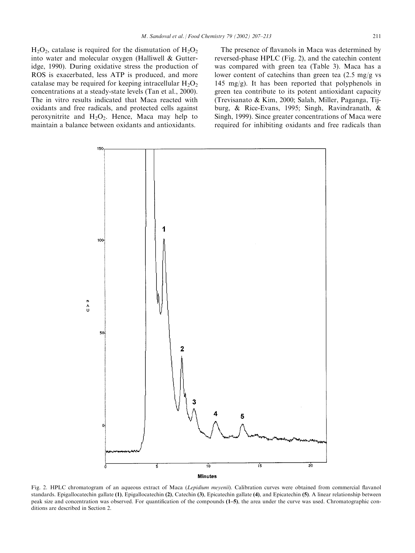$H_2O_2$ , catalase is required for the dismutation of  $H_2O_2$ into water and molecular oxygen (Halliwell & Gutteridge, 1990). During oxidative stress the production of ROS is exacerbated, less ATP is produced, and more catalase may be required for keeping intracellular  $H_2O_2$ concentrations at a steady-state levels (Tan et al., 2000). The in vitro results indicated that Maca reacted with oxidants and free radicals, and protected cells against peroxynitrite and  $H_2O_2$ . Hence, Maca may help to maintain a balance between oxidants and antioxidants.

The presence of flavanols in Maca was determined by reversed-phase HPLC (Fig. 2), and the catechin content was compared with green tea (Table 3). Maca has a lower content of catechins than green tea (2.5 mg/g vs 145 mg/g). It has been reported that polyphenols in green tea contribute to its potent antioxidant capacity (Trevisanato & Kim, 2000; Salah, Miller, Paganga, Tijburg, & Rice-Evans, 1995; Singh, Ravindranath, & Singh, 1999). Since greater concentrations of Maca were required for inhibiting oxidants and free radicals than



Fig. 2. HPLC chromatogram of an aqueous extract of Maca (Lepidium meyenii). Calibration curves were obtained from commercial flavanol standards. Epigallocatechin gallate (1), Epigallocatechin (2), Catechin (3), Epicatechin gallate (4), and Epicatechin (5). A linear relationship between peak size and concentration was observed. For quantification of the compounds (1–5), the area under the curve was used. Chromatographic conditions are described in Section 2.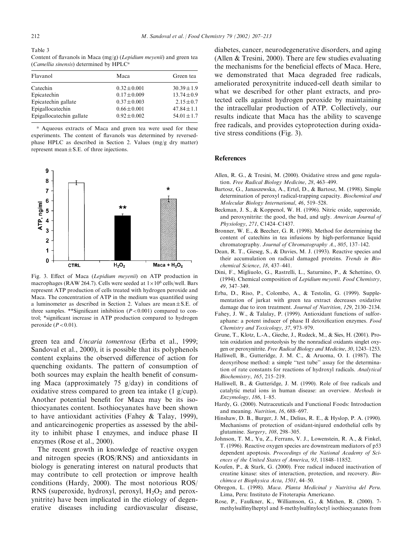Table 3 Content of flavanols in Maca (mg/g) (Lepidium meyenii) and green tea (Camellia sinensis) determined by HPLC<sup>a</sup>

| Maca             | Green tea       |
|------------------|-----------------|
| $0.32 \pm 0.001$ | $30.39 \pm 1.9$ |
| $0.17 \pm 0.009$ | $13.74 \pm 0.9$ |
| $0.37 \pm 0.003$ | $2.15 \pm 0.7$  |
| $0.66 \pm 0.001$ | $47.84 \pm 1.1$ |
| $0.92 \pm 0.002$ | $54.01 \pm 1.7$ |
|                  |                 |

<sup>a</sup> Aqueous extracts of Maca and green tea were used for these experiments. The content of flavanols was determined by reversedphase HPLC as described in Section 2. Values (mg/g dry matter) represent mean $\pm$ S.E. of three injections.



Fig. 3. Effect of Maca (Lepidium meyenii) on ATP production in macrophages (RAW 264.7). Cells were seeded at  $1 \times 10^6$  cells/well. Bars represent ATP production of cells treated with hydrogen peroxide and Maca. The concentration of ATP in the medium was quantified using a luminometer as described in Section 2. Values are mean $\pm$ S.E. of three samples. \*\*Significant inhibition  $(P<0.001)$  compared to control; \*significant increase in ATP production compared to hydrogen peroxide  $(P<0.01)$ .

green tea and Uncaria tomentosa (Erba et al., 1999; Sandoval et al., 2000), it is possible that its polyphenols content explains the observed difference of action for quenching oxidants. The pattern of consumption of both sources may explain the health benefit of consuming Maca (approximately 75 g/day) in conditions of oxidative stress compared to green tea intake (1 g/cup). Another potential benefit for Maca may be its isothiocyanates content. Isothiocyanates have been shown to have antioxidant activities (Fahey & Talay, 1999), and anticarcinogenic properties as assessed by the ability to inhibit phase I enzymes, and induce phase II enzymes (Rose et al., 2000).

The recent growth in knowledge of reactive oxygen and nitrogen species (ROS/RNS) and antioxidants in biology is generating interest on natural products that may contribute to cell protection or improve health conditions (Hardy, 2000). The most notorious ROS/ RNS (superoxide, hydroxyl, peroxyl,  $H_2O_2$  and peroxynitrite) have been implicated in the etiology of degenerative diseases including cardiovascular disease,

diabetes, cancer, neurodegenerative disorders, and aging (Allen & Tresini, 2000). There are few studies evaluating the mechanisms for the beneficial effects of Maca. Here, we demonstrated that Maca degraded free radicals, ameliorated peroxynitrite induced-cell death similar to what we described for other plant extracts, and protected cells against hydrogen peroxide by maintaining the intracellular production of ATP. Collectively, our results indicate that Maca has the ability to scavenge free radicals, and provides cytoprotection during oxidative stress conditions (Fig. 3).

#### References

- Allen, R. G., & Tresini, M. (2000). Oxidative stress and gene regulation. Free Radical Biology Medicine, 28, 463–499.
- Bartosz, G., Janaszewska, A., Ertel, D., & Bartosz, M. (1998). Simple determination of peroxyl radical-trapping capacity. Biochemical and Molecular Biology International, 46, 519–528.
- Beckman, J. S., & Koppenol, W. H. (1996). Nitric oxide, superoxide, and peroxynitrite: the good, the bad, and ugly. American Journal of Physiology, 271, C1424–C1437.
- Bronner, W. E., & Beecher, G. R. (1998). Method for determining the content of catechins in tea infusions by high-performance liquid chromatography. Journal of Chromatography A., 805, 137–142.
- Dean, R. T., Gieseg, S., & Davies, M. J. (1993). Reactive species and their accumulation on radical damaged proteins. Trends in Biochemical Science, 18, 437–441.
- Dini, F., Migliuolo, G., Rastrelli, L., Saturnino, P., & Schettino, O. (1994). Chemical composition of Lepidium meyenii. Food Chemistry, 49, 347–349.
- Erba, D., Riso, P., Colombo, A., & Testolin, G. (1999). Supplementation of jurkat with green tea extract decreases oxidative damage due to iron treatment. Journal of Nutrition, 129, 2130–2134.
- Fahey, J. W., & Talalay, P. (1999). Antioxidant functions of sulforaphane: a potent inducer of phase II detoxification enzymes. Food Chemistry and Toxicology, 37, 973–979.
- Grune, T., Klotz, L.-A., Gieche, J., Rudeck, M., & Sies, H. (2001). Protein oxidation and proteolysis by the nonradical oxidants singlet oxygen or peroxynitrite. Free Radical Biology and Medicine, 30, 1243–1253.
- Halliwell, B., Gutteridge, J. M. C., & Aruoma, O. I. (1987). The deoxyribose method: a simple ''test tube'' assay for the determination of rate constants for reactions of hydroxyl radicals. Analytical Biochemistry, 165, 215–219.
- Halliwell, B., & Gutteridge, J. M. (1990). Role of free radicals and catalytic metal ions in human disease: an overview. Methods in Enzymology, 186, 1–85.
- Hardy, G. (2000). Nutraceuticals and Functional Foods: Introduction and meaning. Nutrition, 16, 688–697.
- Hinshaw, D. B., Burger, J. M., Delius, R. E., & Hyslop, P. A. (1990). Mechanisms of protection of oxidant-injured endothelial cells by glutamine. Surgery, 108, 298–305.
- Johnson, T. M., Yu, Z., Ferrans, V. J., Lowenstein, R. A., & Finkel, T. (1996). Reactive oxygen species are downstream mediators of p53 dependent apoptosis. Proceedings of the National Academy of Sciences of the United States of America, 93, 11848–11852.
- Koufen, P., & Stark, G. (2000). Free radical induced inactivation of creatine kinase: sites of interaction, protection, and recovery. Biochimca et Biophysica Acta, 1501, 44–50.
- Obregon, L. (1998). Maca. Planta Medicinal y Nutritiva del Peru. Lima, Peru: Instituto de Fitoterapia Americano.
- Rose, P., Faulkner, K., Williamson, G., & Mithen, R. (2000). 7 methylsulfinylheptyl and 8-methylsulfinyloctyl isothiocyanates from